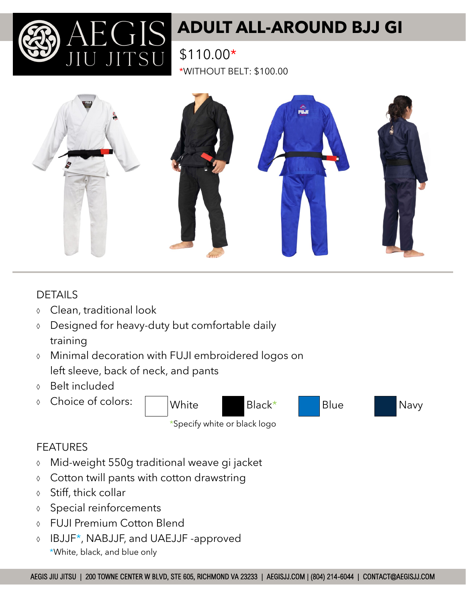

# **ADULT ALL-AROUND BJJ GI**

\$110.00\* \*WITHOUT BELT: \$100.00



### DETAILS

- Clean, traditional look
- Designed for heavy-duty but comfortable daily training
- Minimal decoration with FUJI embroidered logos on left sleeve, back of neck, and pants
- Belt included
- Choice of colors: White Black\* Blue Navy

\*Specify white or black logo

### FEATURES

- Mid-weight 550g traditional weave gi jacket
- Cotton twill pants with cotton drawstring
- $\lozenge$  Stiff, thick collar
- Special reinforcements
- FUJI Premium Cotton Blend
- IBJJF\*, NABJJF, and UAEJJF -approved \*White, black, and blue only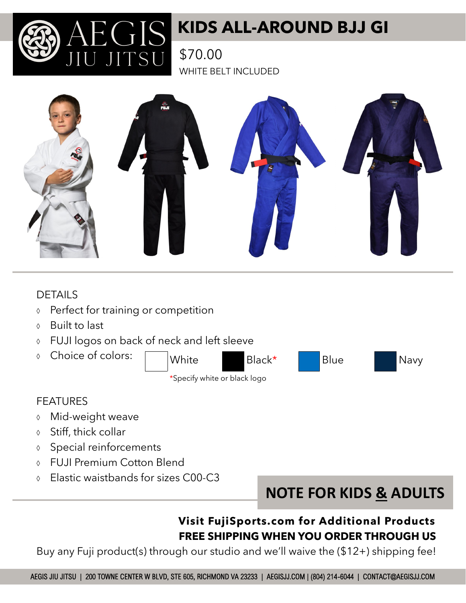## **KIDS ALL-AROUND BJJ GI**

\$70.00 WHITE BELT INCLUDED



### DETAILS

- **↑** Perfect for training or competition
- Built to last
- FUJI logos on back of neck and left sleeve
- Choice of colors:

White Black\* Blue Navy \*Specify white or black logo





### FEATURES

- Mid-weight weave
- $\lozenge$  Stiff, thick collar
- Special reinforcements
- FUJI Premium Cotton Blend
- Elastic waistbands for sizes C00-C3



## **Visit FujiSports.com for Additional Products FREE SHIPPING WHEN YOU ORDER THROUGH US**

Buy any Fuji product(s) through our studio and we'll waive the (\$12+) shipping fee!